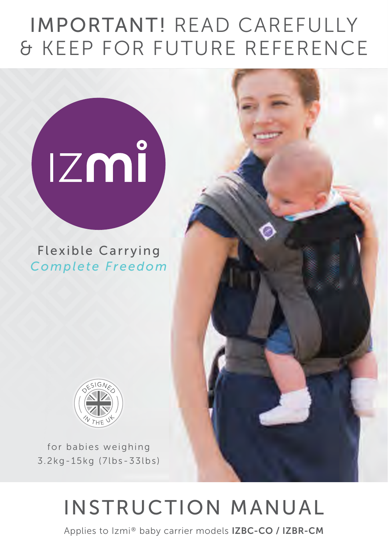## IMPORTANT! READ CAREFULLY & KEEP FOR FUTURE REFERENCE

# **IZMÎ**

Flexible Carrying *Complete Freedom*



for babies weighing 3.2kg-15kg (7lbs-33lbs)

## INSTRUCTION MANUAL

Applies to Izmi® baby carrier models IZBC-CO / IZBR-CM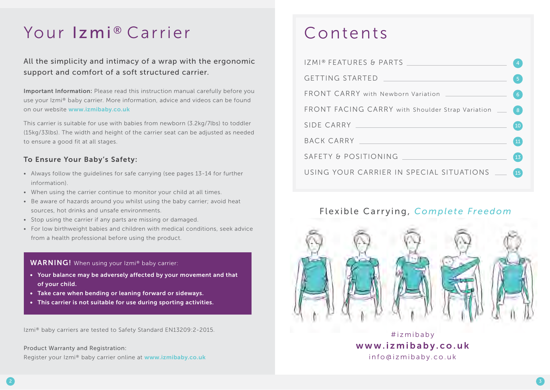## Your Izmi® Carrier Contents

All the simplicity and intimacy of a wrap with the ergonomic support and comfort of a soft structured carrier.

Important Information: Please read this instruction manual carefully before you use your Izmi® baby carrier. More information, advice and videos can be found on our website www.izmibaby.co.uk

This carrier is suitable for use with babies from newborn (3.2kg/7lbs) to toddler (15kg/33lbs). The width and height of the carrier seat can be adjusted as needed to ensure a good fit at all stages.

#### To Ensure Your Baby's Safety:

- Always follow the quidelines for safe carrying (see pages 13-14 for further information).
- When using the carrier continue to monitor your child at all times.
- Be aware of hazards around you whilst using the baby carrier; avoid heat sources, hot drinks and unsafe environments.
- Stop using the carrier if any parts are missing or damaged.
- For low birthweight babies and children with medical conditions, seek advice from a health professional before using the product.

#### WARNING! When using your Izmi® baby carrier:

- Your balance may be adversely affected by your movement and that of your child.
- Take care when bending or leaning forward or sideways.
- This carrier is not suitable for use during sporting activities.

Izmi® baby carriers are tested to Safety Standard EN13209:2-2015.

Product Warranty and Registration: Register your Izmi® baby carrier online at www.izmibaby.co.uk

|                                                                                                                                                                                                                                | $6^{\circ}$     |
|--------------------------------------------------------------------------------------------------------------------------------------------------------------------------------------------------------------------------------|-----------------|
| FRONT FACING CARRY with Shoulder Strap Variation __                                                                                                                                                                            | 8               |
| SIDE CARRY NAME OF STREET AND RESIDENCE OF STREET                                                                                                                                                                              | 10 <sup>°</sup> |
| BACK CARRY NAMES AND RESIDENCE AND RESIDENCE AND RESIDENCE AND RESIDENCE AND RESIDENCE AND RESIDENCE AND RESIDENCE AND RESIDENCE AND RESIDENCE AND RESIDENCE AND RESIDENCE AND RESIDENCE AND RESIDENCE AND RESIDENCE AND RESID | 11              |
| SAFETY & POSITIONING                                                                                                                                                                                                           | 13              |
| USING YOUR CARRIER IN SPECIAL SITUATIONS __                                                                                                                                                                                    | <b>15</b>       |

### Flexible Carrying, *Complete Freedom*



#izmibaby www.izmibaby.co.uk info@izmibaby.co.uk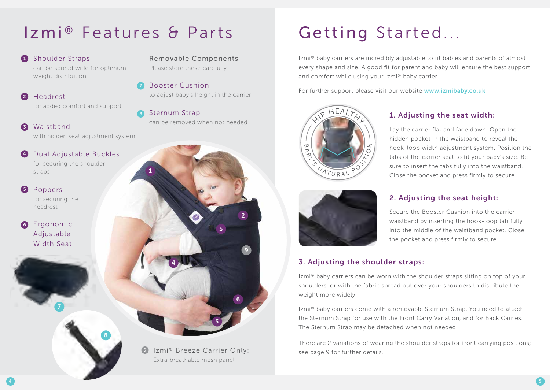## Izmi® Features & Parts Getting Started...

#### **1** Shoulder Straps

can be spread wide for optimum weight distribution

- 2 Headrest for added comfort and support
- Waistband 3

with hidden seat adjustment system

8

**4** Dual Adjustable Buckles for securing the shoulder

straps

Poppers for securing the headrest 5

**6** Ergonomic Adjustable Width Seat

7

Removable Components Please store these carefully:

Booster Cushion 7

to adjust baby's height in the carrier

8 Sternum Strap can be removed when not needed



Extra-breathable mesh panel

Izmi® baby carriers are incredibly adjustable to fit babies and parents of almost every shape and size. A good fit for parent and baby will ensure the best support and comfort while using your Izmi® baby carrier.

For further support please visit our website www.izmibaby.co.uk



#### 1. Adjusting the seat width: Lay the carrier flat and face down. Open the

hidden pocket in the waistband to reveal the hook-loop width adjustment system. Position the tabs of the carrier seat to fit your baby's size. Be sure to insert the tabs fully into the waistband. Close the pocket and press firmly to secure.



#### 2. Adjusting the seat height:

Secure the Booster Cushion into the carrier waistband by inserting the hook-loop tab fully into the middle of the waistband pocket. Close the pocket and press firmly to secure.

#### 3. Adjusting the shoulder straps:

Izmi® baby carriers can be worn with the shoulder straps sitting on top of your shoulders, or with the fabric spread out over your shoulders to distribute the weight more widely.

Izmi® baby carriers come with a removable Sternum Strap. You need to attach the Sternum Strap for use with the Front Carry Variation, and for Back Carries. The Sternum Strap may be detached when not needed.

There are 2 variations of wearing the shoulder straps for front carrying positions; see page 9 for further details.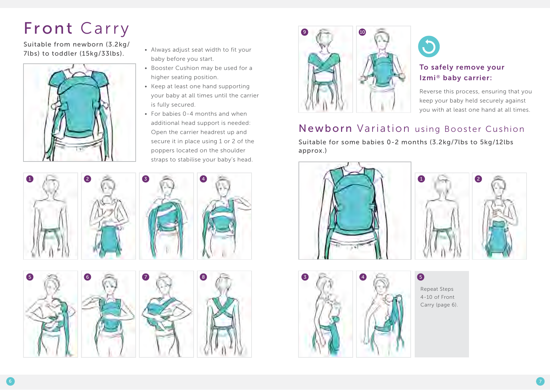## Front Carry

Suitable from newborn (3.2kg/ 7lbs) to toddler (15kg/33lbs).



- Always adjust seat width to fit your baby before you start.
- Booster Cushion may be used for a higher seating position.
- Keep at least one hand supporting your baby at all times until the carrier is fully secured.
- $\bullet$  For babies 0-4 months and when additional head support is needed: Open the carrier headrest up and secure it in place using 1 or 2 of the poppers located on the shoulder straps to stabilise your baby's head.









#### To safely remove your Izmi® baby carrier:

Reverse this process, ensuring that you keep your baby held securely against you with at least one hand at all times.

## Newborn Variation using Booster Cushion

Suitable for some babies 0-2 months (3.2kg/7lbs to 5kg/12lbs approx.)





Repeat Steps 4-10 of Front Carry (page 6).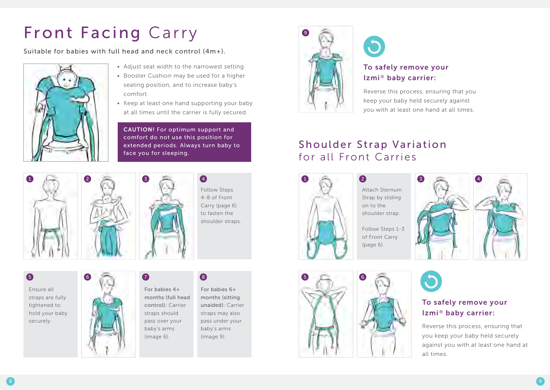# Front Facing Carry

Suitable for babies with full head and neck control (4m+).



- Adjust seat width to the narrowest setting. • Booster Cushion may be used for a higher seating position, and to increase baby's
- comfort. • Keep at least one hand supporting your baby at all times until the carrier is fully secured.

CAUTION! For optimum support and comfort do not use this position for extended periods. Always turn baby to face you for sleeping.





Follow Steps 4-8 of Front Carry (page 6) to fasten the shoulder straps.

Ensure all straps are fully tightened to hold your baby securely.



For babies 4+ months (full head control): Carrier straps should pass over your baby's arms (image 6).

 $\bullet$ 

#### 8

For babies 6+ months (sitting unaided): Carrier straps may also pass under your baby's arms (image 9).



### To safely remove your Izmi® baby carrier:

Reverse this process, ensuring that you keep your baby held securely against you with at least one hand at all times.

## Shoulder Strap Variation for all Front Carries



5 6

Attach Sternum Strap by sliding on to the shoulder strap.

Follow Steps 1-3 of Front Carry (page 6).





#### To safely remove your Izmi® baby carrier:

Reverse this process, ensuring that you keep your baby held securely against you with at least one hand at all times.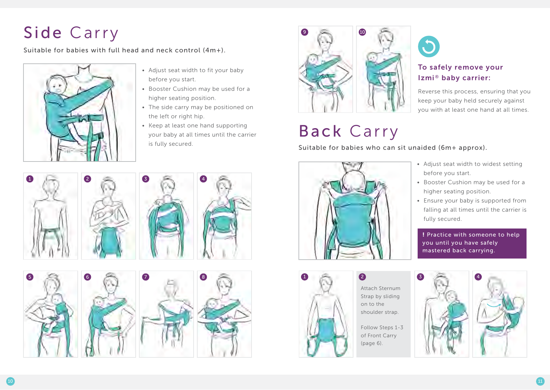# Side Carry

Suitable for babies with full head and neck control (4m+).



- Adjust seat width to fit your baby before you start.
- Booster Cushion may be used for a higher seating position.
- The side carry may be positioned on the left or right hip.
- $\bullet$  Keep at least one hand supporting your baby at all times until the carrier is fully secured.



# Back Carry



 $\bigcirc$ 

To safely remove your

Reverse this process, ensuring that you keep your baby held securely against you with at least one hand at all times.





- Adjust seat width to widest setting before you start.
- Booster Cushion may be used for a higher seating position.
- Ensure your baby is supported from falling at all times until the carrier is fully secured.

! Practice with someone to help you until you have safely mastered back carrying.















Attach Sternum Strap by sliding on to the shoulder strap.

Follow Steps 1-3 of Front Carry (page 6).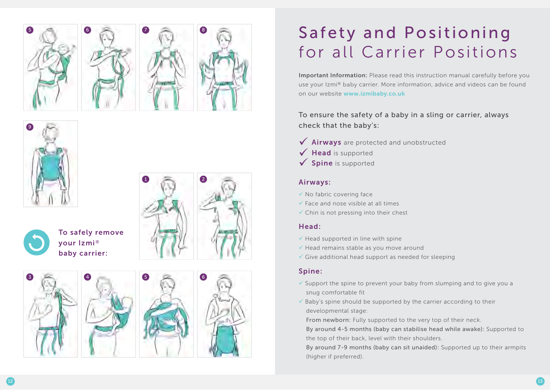





3

To safely remove your Izmi® baby carrier:

4





# Safety and Positioning for all Carrier Positions

Important Information: Please read this instruction manual carefully before you use your Izmi® baby carrier. More information, advice and videos can be found on our website www.izmibaby.co.uk

To ensure the safety of a baby in a sling or carrier, always check that the baby's:

- V Airways are protected and unobstructed
- $\checkmark$  Head is supported
- $\checkmark$  Spine is supported

#### Airways:

- $\checkmark$  No fabric covering face
- $\checkmark$  Face and nose visible at all times
- $\checkmark$  Chin is not pressing into their chest

#### Head:

- $\checkmark$  Head supported in line with spine
- $\checkmark$  Head remains stable as you move around
- $\checkmark$  Give additional head support as needed for sleeping

#### Spine:

- $\checkmark$  Support the spine to prevent your baby from slumping and to give you a snug comfortable fit
- $\checkmark$  Baby's spine should be supported by the carrier according to their developmental stage:

From newborn: Fully supported to the very top of their neck.

By around 4-5 months (baby can stabilise head while awake): Supported to the top of their back, level with their shoulders.

By around 7-9 months (baby can sit unaided): Supported up to their armpits (higher if preferred).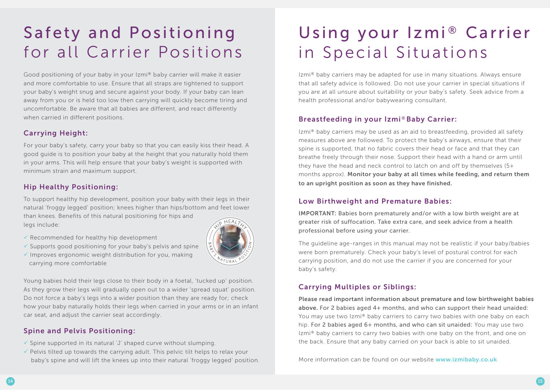## Safety and Positioning for all Carrier Positions

Good positioning of your baby in your Izmi® baby carrier will make it easier and more comfortable to use. Ensure that all straps are tightened to support your baby's weight snug and secure against your body. If your baby can lean away from you or is held too low then carrying will quickly become tiring and uncomfortable. Be aware that all babies are different, and react differently when carried in different positions.

#### Carrying Height:

For your baby's safety, carry your baby so that you can easily kiss their head. A good guide is to position your baby at the height that you naturally hold them in your arms. This will help ensure that your baby's weight is supported with minimum strain and maximum support.

#### Hip Healthy Positioning:

To support healthy hip development, position your baby with their legs in their natural 'froggy legged' position; knees higher than hips/bottom and feet lower than knees. Benefits of this natural positioning for hips and legs include:

- $\checkmark$  Recommended for healthy hip development
- $\checkmark$  Supports good positioning for your baby's pelvis and spine
- $\checkmark$  Improves ergonomic weight distribution for you, making carrying more comfortable



Young babies hold their legs close to their body in a foetal, 'tucked up' position. As they grow their legs will gradually open out to a wider 'spread squat' position. Do not force a baby's legs into a wider position than they are ready for; check how your baby naturally holds their legs when carried in your arms or in an infant car seat, and adjust the carrier seat accordingly.

#### Spine and Pelvis Positioning:

- $\checkmark$  Spine supported in its natural 'J' shaped curve without slumping.
- $\checkmark$  Pelvis tilted up towards the carrying adult. This pelvic tilt helps to relax your baby's spine and will lift the knees up into their natural 'froggy legged' position.

## Using your Izmi® Carrier in Special Situations

Izmi® baby carriers may be adapted for use in many situations. Always ensure that all safety advice is followed. Do not use your carrier in special situations if you are at all unsure about suitability or your baby's safety. Seek advice from a health professional and/or babywearing consultant.

#### Breastfeeding in your Izmi®Baby Carrier:

Izmi® baby carriers may be used as an aid to breastfeeding, provided all safety measures above are followed. To protect the baby's airways, ensure that their spine is supported, that no fabric covers their head or face and that they can breathe freely through their nose. Support their head with a hand or arm until they have the head and neck control to latch on and off by themselves (5+ months approx). Monitor your baby at all times while feeding, and return them to an upright position as soon as they have finished.

#### Low Birthweight and Premature Babies:

IMPORTANT: Babies born prematurely and/or with a low birth weight are at greater risk of suffocation. Take extra care, and seek advice from a health professional before using your carrier.

The guideline age-ranges in this manual may not be realistic if your baby/babies were born prematurely. Check your baby's level of postural control for each carrying position, and do not use the carrier if you are concerned for your baby's safety.

#### Carrying Multiples or Siblings:

Please read important information about premature and low birthweight babies above. For 2 babies aged 4+ months, and who can support their head unaided: You may use two Izmi® baby carriers to carry two babies with one baby on each hip. For 2 babies aged 6+ months, and who can sit unaided: You may use two Izmi® baby carriers to carry two babies with one baby on the front, and one on the back. Ensure that any baby carried on your back is able to sit unaided.

More information can be found on our website www.izmibaby.co.uk